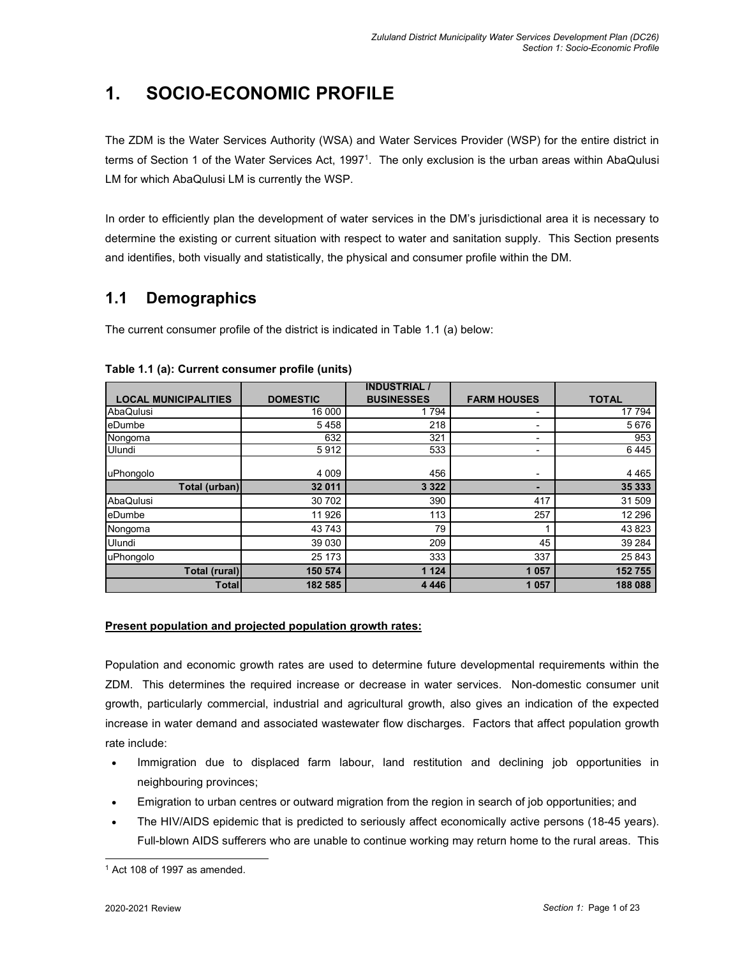## **1. SOCIO-ECONOMIC PROFILE**

The ZDM is the Water Services Authority (WSA) and Water Services Provider (WSP) for the entire district in terms of Section 1 of the Water Services Act, 1997<sup>1</sup> . The only exclusion is the urban areas within AbaQulusi LM for which AbaQulusi LM is currently the WSP.

In order to efficiently plan the development of water services in the DM's jurisdictional area it is necessary to determine the existing or current situation with respect to water and sanitation supply. This Section presents and identifies, both visually and statistically, the physical and consumer profile within the DM.

## **1.1 Demographics**

The current consumer profile of the district is indicated in Table 1.1 (a) below:

|                             |                 | <b>INDUSTRIAL</b> |                          |              |
|-----------------------------|-----------------|-------------------|--------------------------|--------------|
| <b>LOCAL MUNICIPALITIES</b> | <b>DOMESTIC</b> | <b>BUSINESSES</b> | <b>FARM HOUSES</b>       | <b>TOTAL</b> |
| AbaQulusi                   | 16 000          | 1794              |                          | 17 794       |
| eDumbe                      | 5458            | 218               |                          | 5676         |
| Nongoma                     | 632             | 321               | $\overline{\phantom{a}}$ | 953          |
| Ulundi                      | 5912            | 533               | $\overline{\phantom{a}}$ | 6445         |
|                             |                 |                   |                          |              |
| uPhongolo                   | 4 0 0 9         | 456               | $\overline{\phantom{a}}$ | 4 4 6 5      |
| Total (urban)               | 32 011          | 3 3 2 2           |                          | 35 333       |
| AbaQulusi                   | 30 702          | 390               | 417                      | 31 509       |
| eDumbe                      | 11 926          | 113               | 257                      | 12 29 6      |
| Nongoma                     | 43 743          | 79                |                          | 43 823       |
| Ulundi                      | 39 030          | 209               | 45                       | 39 284       |
| uPhongolo                   | 25 173          | 333               | 337                      | 25 843       |
| Total (rural)               | 150 574         | 1 1 2 4           | 1 0 5 7                  | 152755       |
| <b>Total</b>                | 182 585         | 4 4 4 4 6         | 1 0 5 7                  | 188 088      |

#### **Table 1.1 (a): Current consumer profile (units)**

#### **Present population and projected population growth rates:**

Population and economic growth rates are used to determine future developmental requirements within the ZDM. This determines the required increase or decrease in water services. Non-domestic consumer unit growth, particularly commercial, industrial and agricultural growth, also gives an indication of the expected increase in water demand and associated wastewater flow discharges. Factors that affect population growth rate include:

- Immigration due to displaced farm labour, land restitution and declining job opportunities in neighbouring provinces;
- Emigration to urban centres or outward migration from the region in search of job opportunities; and
- The HIV/AIDS epidemic that is predicted to seriously affect economically active persons (18-45 years). Full-blown AIDS sufferers who are unable to continue working may return home to the rural areas. This

<sup>1</sup> Act 108 of 1997 as amended.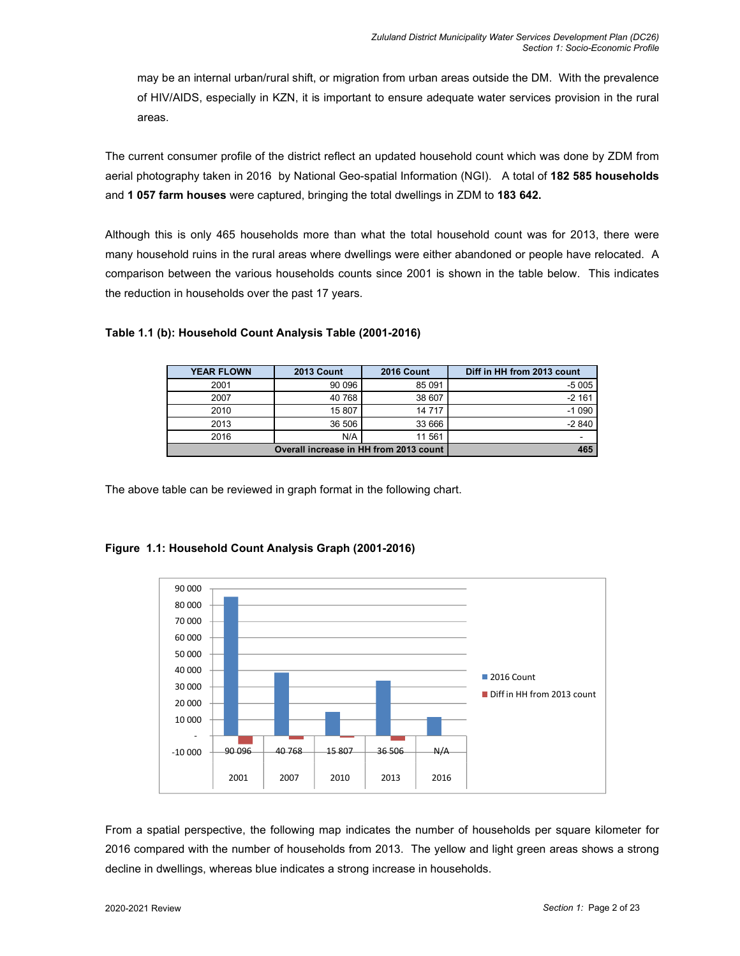may be an internal urban/rural shift, or migration from urban areas outside the DM. With the prevalence of HIV/AIDS, especially in KZN, it is important to ensure adequate water services provision in the rural areas.

The current consumer profile of the district reflect an updated household count which was done by ZDM from aerial photography taken in 2016 by National Geo-spatial Information (NGI). A total of **182 585 households** and **1 057 farm houses** were captured, bringing the total dwellings in ZDM to **183 642.** 

Although this is only 465 households more than what the total household count was for 2013, there were many household ruins in the rural areas where dwellings were either abandoned or people have relocated. A comparison between the various households counts since 2001 is shown in the table below. This indicates the reduction in households over the past 17 years.

| <b>YEAR FLOWN</b>                      | <b>2013 Count</b> | <b>2016 Count</b> | Diff in HH from 2013 count |
|----------------------------------------|-------------------|-------------------|----------------------------|
| 2001                                   | 90 096            | 85 091            | -5 005                     |
| 2007                                   | 40 768            | 38 607            | $-2161$                    |
| 2010                                   | 15 807            | 14 7 17           | $-1090$                    |
| 2013                                   | 36 506            | 33 666            | $-2840$                    |
| 2016                                   | N/A               | 11 561            |                            |
| Overall increase in HH from 2013 count | 465               |                   |                            |

#### **Table 1.1 (b): Household Count Analysis Table (2001-2016)**

The above table can be reviewed in graph format in the following chart.



#### **Figure 1.1: Household Count Analysis Graph (2001-2016)**

From a spatial perspective, the following map indicates the number of households per square kilometer for 2016 compared with the number of households from 2013. The yellow and light green areas shows a strong decline in dwellings, whereas blue indicates a strong increase in households.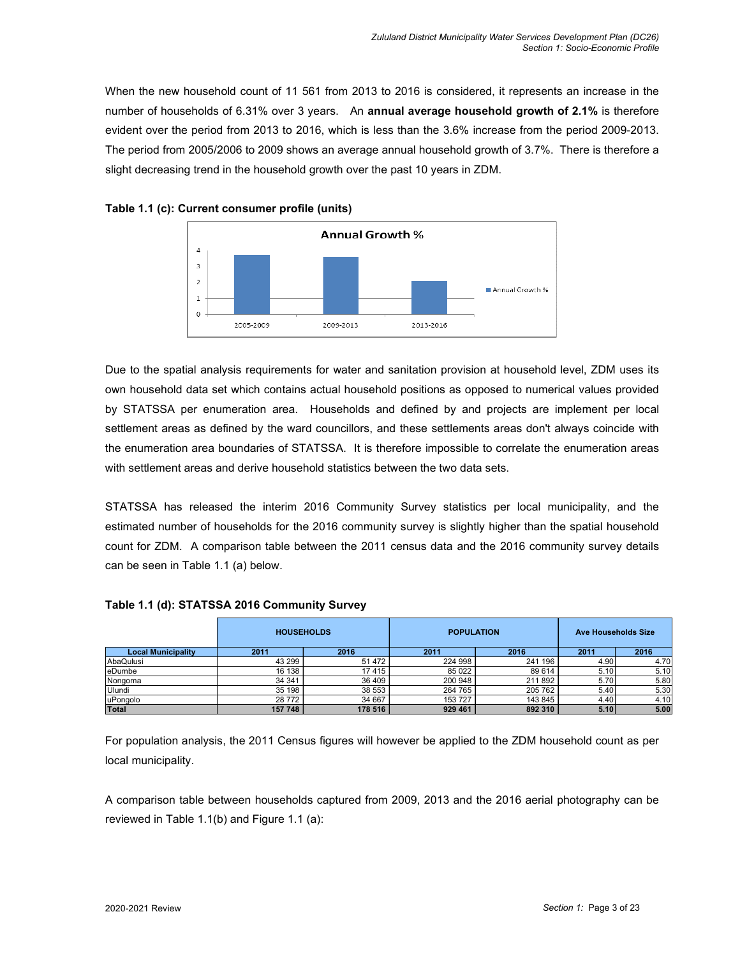When the new household count of 11 561 from 2013 to 2016 is considered, it represents an increase in the number of households of 6.31% over 3 years. An **annual average household growth of 2.1%** is therefore evident over the period from 2013 to 2016, which is less than the 3.6% increase from the period 2009-2013. The period from 2005/2006 to 2009 shows an average annual household growth of 3.7%. There is therefore a slight decreasing trend in the household growth over the past 10 years in ZDM.





Due to the spatial analysis requirements for water and sanitation provision at household level, ZDM uses its own household data set which contains actual household positions as opposed to numerical values provided by STATSSA per enumeration area. Households and defined by and projects are implement per local settlement areas as defined by the ward councillors, and these settlements areas don't always coincide with the enumeration area boundaries of STATSSA. It is therefore impossible to correlate the enumeration areas with settlement areas and derive household statistics between the two data sets.

STATSSA has released the interim 2016 Community Survey statistics per local municipality, and the estimated number of households for the 2016 community survey is slightly higher than the spatial household count for ZDM. A comparison table between the 2011 census data and the 2016 community survey details can be seen in Table 1.1 (a) below.

|                           | <b>HOUSEHOLDS</b> |         | <b>POPULATION</b> |         | <b>Ave Households Size</b> |      |
|---------------------------|-------------------|---------|-------------------|---------|----------------------------|------|
| <b>Local Municipality</b> | 2011              | 2016    | 2011              | 2016    | 2011                       | 2016 |
| AbaQulusi                 | 43 299            | 51 472  | 224 998           | 241 196 | 4.90                       | 4.70 |
| eDumbe                    | 16 138            | 17415   | 85 0 22           | 89 614  | 5.10                       | 5.10 |
| Nongoma                   | 34 34 1           | 36 409  | 200 948           | 211 892 | 5.70                       | 5.80 |
| Ulundi                    | 35 198            | 38 553  | 264 765           | 205 762 | 5.40                       | 5.30 |
| uPongolo                  | 28 7 7 2          | 34 667  | 153 727           | 143 845 | 4.40                       | 4.10 |
| Total                     | 157 748           | 178 516 | 929 461           | 892 310 | 5.10                       | 5.00 |

#### **Table 1.1 (d): STATSSA 2016 Community Survey**

For population analysis, the 2011 Census figures will however be applied to the ZDM household count as per local municipality.

A comparison table between households captured from 2009, 2013 and the 2016 aerial photography can be reviewed in Table 1.1(b) and Figure 1.1 (a):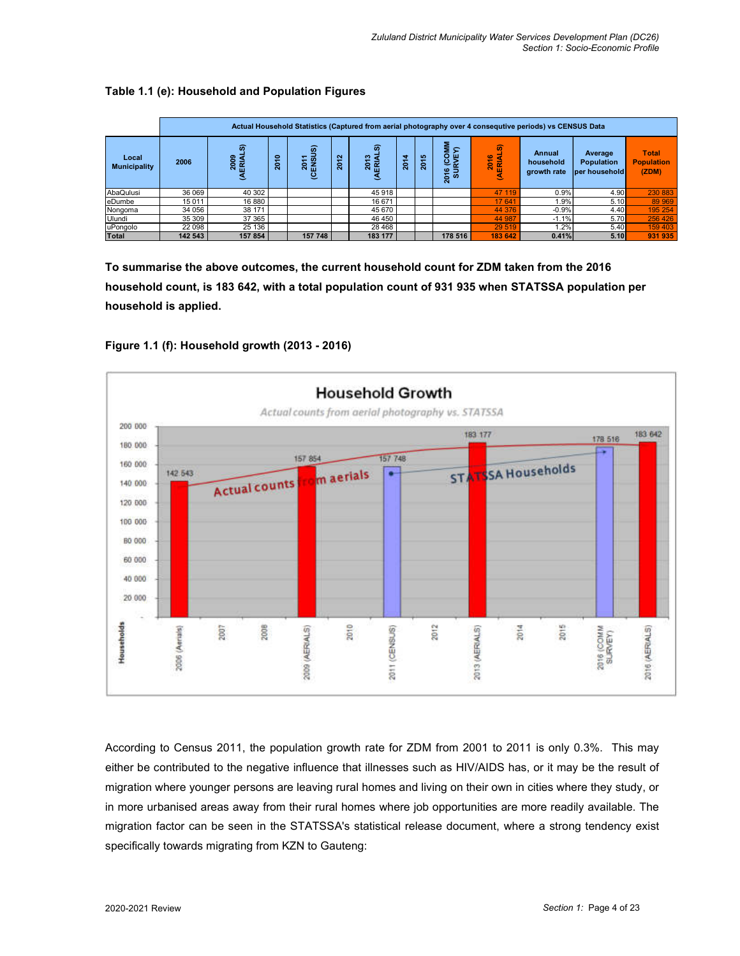#### **Table 1.1 (e): Household and Population Figures**

|                              | Actual Household Statistics (Captured from aerial photography over 4 consequtive periods) vs CENSUS Data |                         |        |                                                  |        |                  |      |          |                                 |                     |                                    |                                               |                                            |
|------------------------------|----------------------------------------------------------------------------------------------------------|-------------------------|--------|--------------------------------------------------|--------|------------------|------|----------|---------------------------------|---------------------|------------------------------------|-----------------------------------------------|--------------------------------------------|
| Local<br><b>Municipality</b> | 2006                                                                                                     | ົ<br>2009<br>ERIAI<br>૬ | ş<br>ន | ெ<br>₽<br>2<br>ន<br>面<br>$\overline{\mathbf{c}}$ | 은<br>ន | ົ<br>ူ<br>ន<br>岳 | 2014 | ې<br>ខ្ល | 5<br>흥<br>o<br>ڥ<br>ō<br>ò<br>ਨ | டை<br>2016<br>ERIAL | Annual<br>household<br>growth rate | Average<br><b>Population</b><br>per household | <b>Total</b><br><b>Population</b><br>(ZDM) |
| AbaQulusi                    | 36 069                                                                                                   | 40 30 2                 |        |                                                  |        | 45918            |      |          |                                 | 47 119              | 0.9%                               | 4.90                                          | 230 883                                    |
| eDumbe                       | 15 0 11                                                                                                  | 16 880                  |        |                                                  |        | 16 671           |      |          |                                 | 17 641              | 1.9%                               | 5.10                                          | 89 969                                     |
| Nongoma                      | 34 056                                                                                                   | 38 171                  |        |                                                  |        | 45 670           |      |          |                                 | 44 376              | $-0.9%$                            | 4.40                                          | 195 254                                    |
| Ulundi                       | 35 309                                                                                                   | 37 365                  |        |                                                  |        | 46 450           |      |          |                                 | 44 987              | $-1.1%$                            | 5.70                                          | 256 426                                    |
| uPongolo                     | 22 098                                                                                                   | 25 136                  |        |                                                  |        | 28 4 68          |      |          |                                 | 29 5 19             | 1.2%                               | 5.40                                          | 159 403                                    |
| <b>Total</b>                 | 142 543                                                                                                  | 157 854                 |        | 157 748                                          |        | 183 177          |      |          | 178 516                         | 183 642             | 0.41%                              | 5.10                                          | 931 935                                    |

**To summarise the above outcomes, the current household count for ZDM taken from the 2016 household count, is 183 642, with a total population count of 931 935 when STATSSA population per household is applied.** 





According to Census 2011, the population growth rate for ZDM from 2001 to 2011 is only 0.3%. This may either be contributed to the negative influence that illnesses such as HIV/AIDS has, or it may be the result of migration where younger persons are leaving rural homes and living on their own in cities where they study, or in more urbanised areas away from their rural homes where job opportunities are more readily available. The migration factor can be seen in the STATSSA's statistical release document, where a strong tendency exist specifically towards migrating from KZN to Gauteng: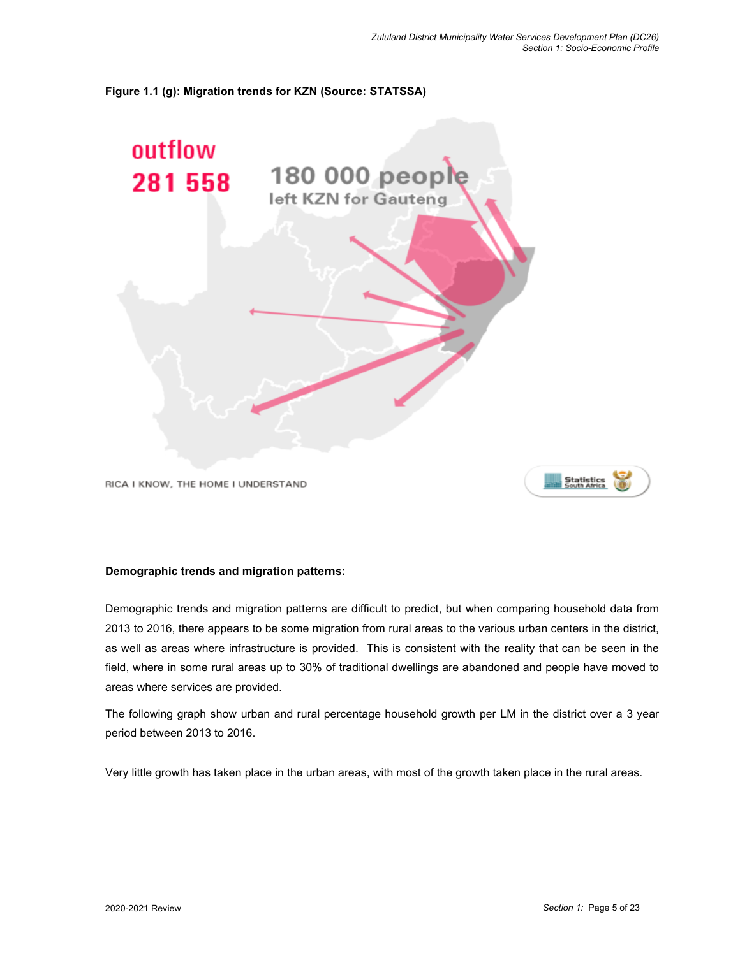#### **Figure 1.1 (g): Migration trends for KZN (Source: STATSSA)**



RICA I KNOW, THE HOME I UNDERSTAND

# Statistics

#### **Demographic trends and migration patterns:**

Demographic trends and migration patterns are difficult to predict, but when comparing household data from 2013 to 2016, there appears to be some migration from rural areas to the various urban centers in the district, as well as areas where infrastructure is provided. This is consistent with the reality that can be seen in the field, where in some rural areas up to 30% of traditional dwellings are abandoned and people have moved to areas where services are provided.

The following graph show urban and rural percentage household growth per LM in the district over a 3 year period between 2013 to 2016.

Very little growth has taken place in the urban areas, with most of the growth taken place in the rural areas.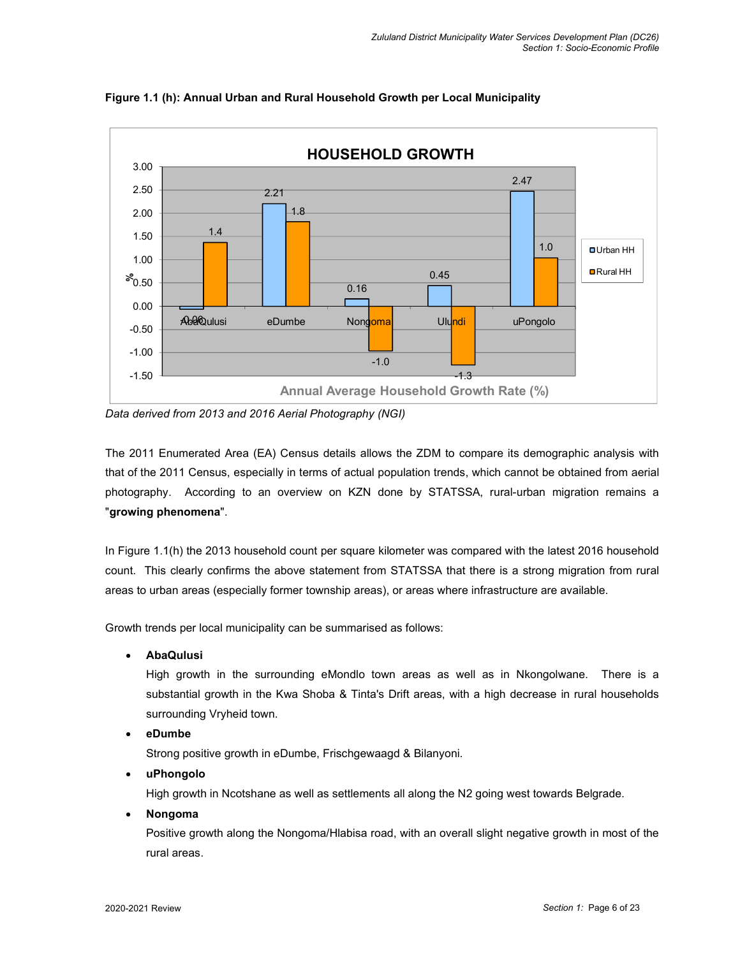

**Figure 1.1 (h): Annual Urban and Rural Household Growth per Local Municipality** 

*Data derived from 2013 and 2016 Aerial Photography (NGI)*

The 2011 Enumerated Area (EA) Census details allows the ZDM to compare its demographic analysis with that of the 2011 Census, especially in terms of actual population trends, which cannot be obtained from aerial photography. According to an overview on KZN done by STATSSA, rural-urban migration remains a "**growing phenomena**".

In Figure 1.1(h) the 2013 household count per square kilometer was compared with the latest 2016 household count. This clearly confirms the above statement from STATSSA that there is a strong migration from rural areas to urban areas (especially former township areas), or areas where infrastructure are available.

Growth trends per local municipality can be summarised as follows:

**AbaQulusi** 

High growth in the surrounding eMondlo town areas as well as in Nkongolwane. There is a substantial growth in the Kwa Shoba & Tinta's Drift areas, with a high decrease in rural households surrounding Vryheid town.

**eDumbe** 

Strong positive growth in eDumbe, Frischgewaagd & Bilanyoni.

**uPhongolo** 

High growth in Ncotshane as well as settlements all along the N2 going west towards Belgrade.

**Nongoma** 

Positive growth along the Nongoma/Hlabisa road, with an overall slight negative growth in most of the rural areas.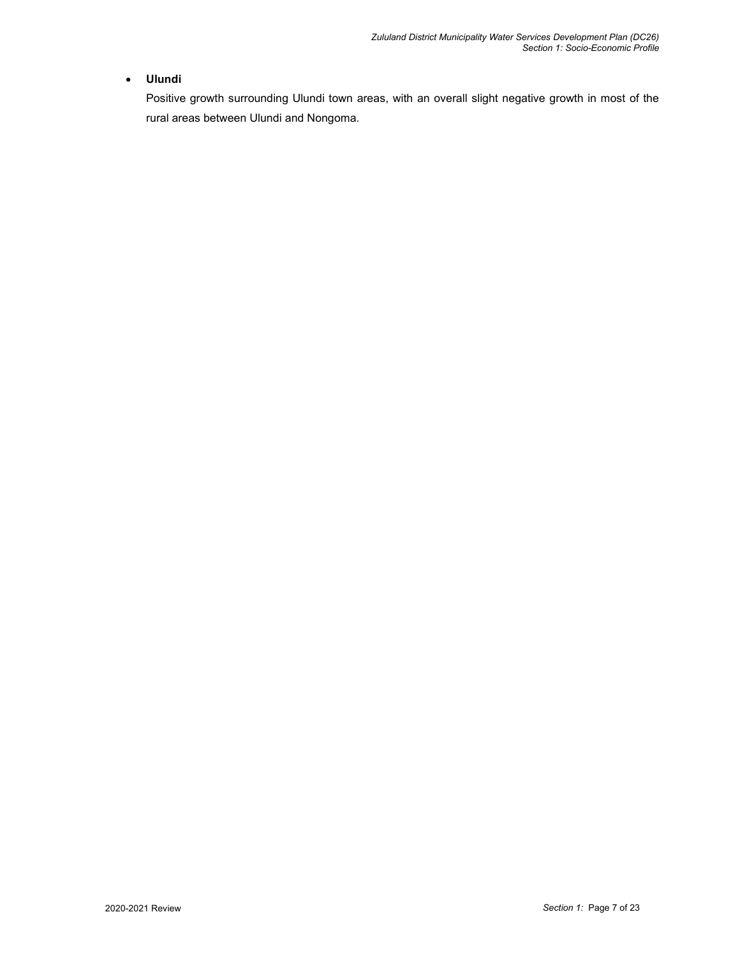#### **Ulundi**

Positive growth surrounding Ulundi town areas, with an overall slight negative growth in most of the rural areas between Ulundi and Nongoma.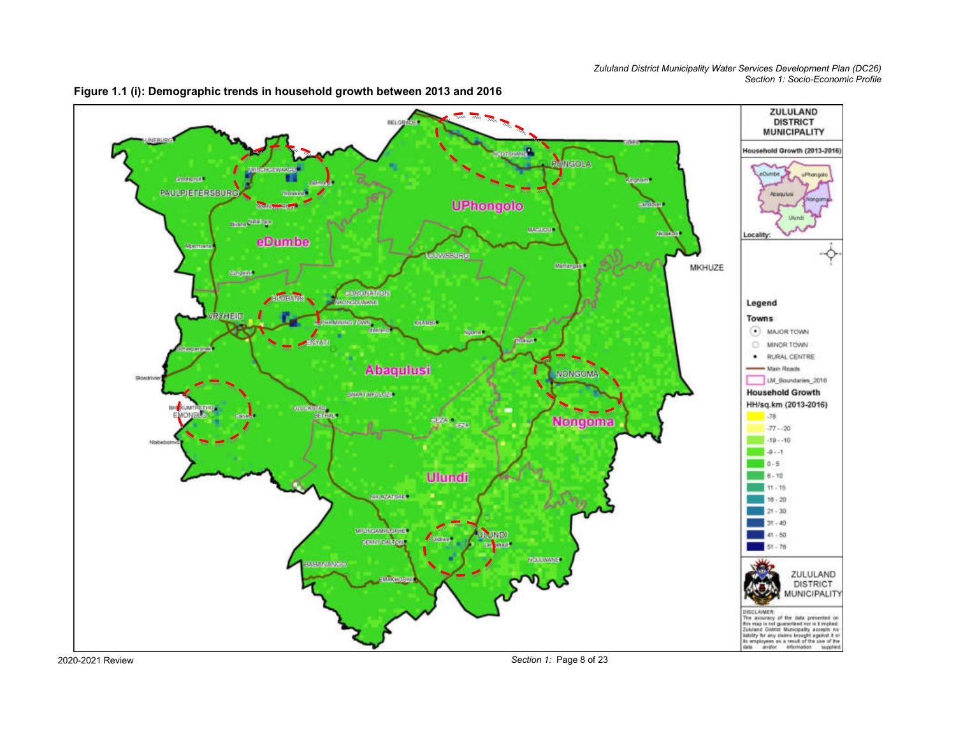

**Figure 1.1 (i): Demographic trends in household growth between 2013 and 2016** 

2020-2021 Review

*Section 1:* Page 8 of 23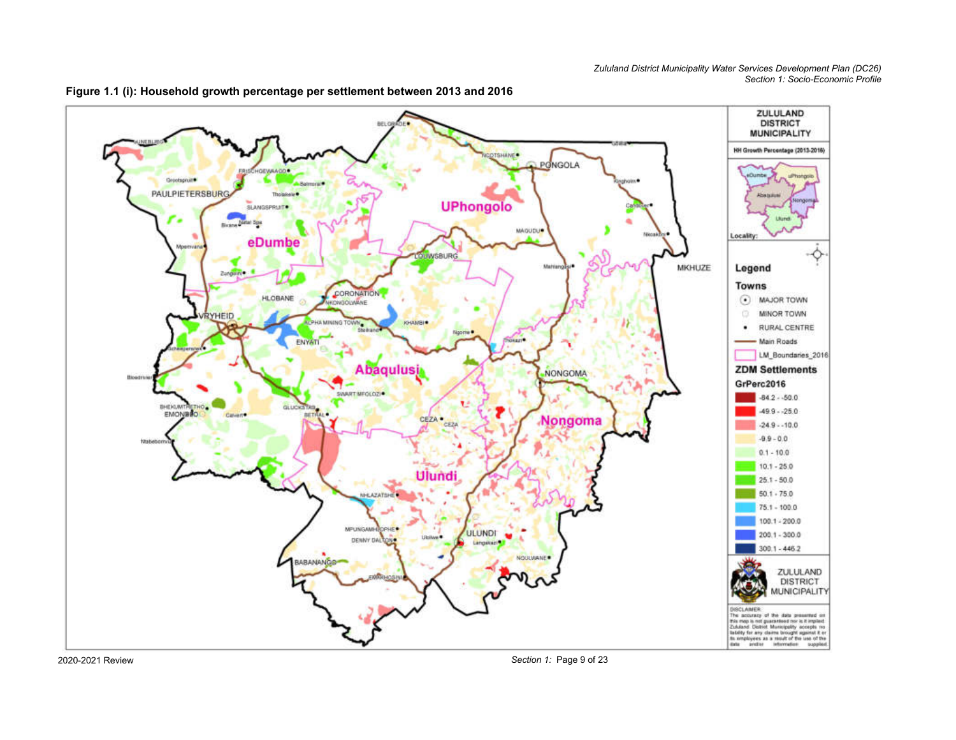



2020-2021 Review

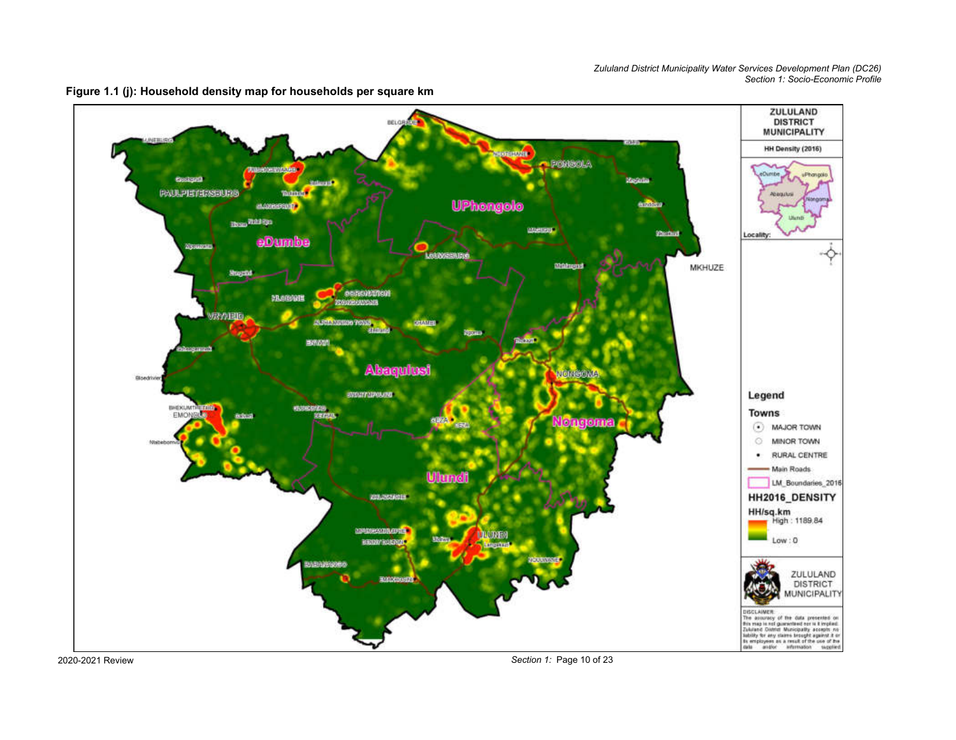

**Figure 1.1 (j): Household density map for households per square km** 

2020-2021 Review

*Section 1:* Page 10 of 23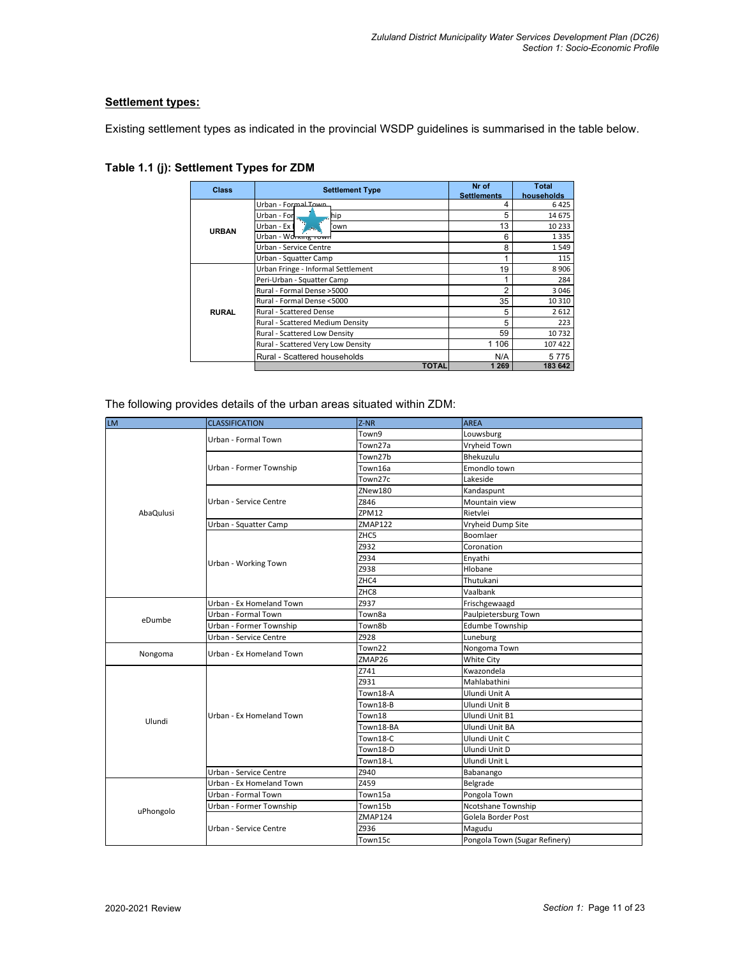#### **Settlement types:**

Existing settlement types as indicated in the provincial WSDP guidelines is summarised in the table below.

| <b>Class</b> | <b>Settlement Type</b>             | Nr of<br><b>Settlements</b> | <b>Total</b><br>households |
|--------------|------------------------------------|-----------------------------|----------------------------|
|              | Urban - Formal Town                |                             | 6425                       |
|              | Urban - For<br>hip                 | 5                           | 14 675                     |
| <b>URBAN</b> | Urban - Ex I<br>own'               | 13                          | 10 2 3 3                   |
|              | Urban - Working rown               | 6                           | 1335                       |
|              | Urban - Service Centre             | 8                           | 1549                       |
|              | Urban - Squatter Camp              |                             | 115                        |
|              | Urban Fringe - Informal Settlement | 19                          | 8906                       |
| <b>RURAL</b> | Peri-Urban - Squatter Camp         |                             | 284                        |
|              | Rural - Formal Dense > 5000        | 2                           | 3046                       |
|              | Rural - Formal Dense <5000         | 35                          | 10 3 10                    |
|              | <b>Rural - Scattered Dense</b>     | 5                           | 2612                       |
|              | Rural - Scattered Medium Density   | 5                           | 223                        |
|              | Rural - Scattered Low Density      | 59                          | 10732                      |
|              | Rural - Scattered Very Low Density | 1 1 0 6                     | 107 422                    |
|              | Rural - Scattered households       | N/A                         | 5775                       |
|              | <b>TOTAL</b>                       | 1 269                       | 183 642                    |

#### **Table 1.1 (j): Settlement Types for ZDM**

The following provides details of the urban areas situated within ZDM:

| <b>LM</b>         | <b>CLASSIFICATION</b>    | $Z-NR$         | <b>AREA</b>                   |
|-------------------|--------------------------|----------------|-------------------------------|
|                   | Urban - Formal Town      | Town9          | Louwsburg                     |
|                   |                          | Town27a        | Vryheid Town                  |
|                   |                          | Town27b        | Bhekuzulu                     |
|                   | Urban - Former Township  | Town16a        | Emondlo town                  |
|                   |                          | Town27c        | Lakeside                      |
|                   |                          | ZNew180        | Kandaspunt                    |
|                   | Urban - Service Centre   | Z846           | Mountain view                 |
| AbaQulusi         |                          | ZPM12          | Rietvlei                      |
|                   | Urban - Squatter Camp    | <b>ZMAP122</b> | Vryheid Dump Site             |
|                   |                          | ZHC5           | Boomlaer                      |
|                   |                          | Z932           | Coronation                    |
|                   | Urban - Working Town     | Z934           | Enyathi                       |
|                   |                          | Z938           | Hlobane                       |
|                   |                          | ZHC4           | Thutukani                     |
|                   |                          | ZHC8           | Vaalbank                      |
|                   | Urban - Ex Homeland Town | Z937           | Frischgewaagd                 |
| eDumbe<br>Nongoma | Urban - Formal Town      | Town8a         | Paulpietersburg Town          |
|                   | Urban - Former Township  | Town8b         | <b>Edumbe Township</b>        |
|                   | Urban - Service Centre   | Z928           | Luneburg                      |
|                   | Urban - Ex Homeland Town | Town22         | Nongoma Town                  |
|                   |                          | ZMAP26         | White City                    |
|                   |                          | Z741           | Kwazondela                    |
|                   |                          | Z931           | Mahlabathini                  |
|                   |                          | Town18-A       | Ulundi Unit A                 |
|                   |                          | Town18-B       | Ulundi Unit B                 |
| Ulundi            | Urban - Ex Homeland Town | Town18         | Ulundi Unit B1                |
|                   |                          | Town18-BA      | Ulundi Unit BA                |
|                   |                          | Town18-C       | Ulundi Unit C                 |
|                   |                          | Town18-D       | Ulundi Unit D                 |
|                   |                          | Town18-L       | Ulundi Unit L                 |
|                   | Urban - Service Centre   | Z940           | Babanango                     |
|                   | Urban - Ex Homeland Town | Z459           | Belgrade                      |
|                   | Urban - Formal Town      | Town15a        | Pongola Town                  |
| uPhongolo         | Urban - Former Township  | Town15b        | Ncotshane Township            |
|                   |                          | <b>ZMAP124</b> | Golela Border Post            |
|                   | Urban - Service Centre   | Z936           | Magudu                        |
|                   |                          | Town15c        | Pongola Town (Sugar Refinery) |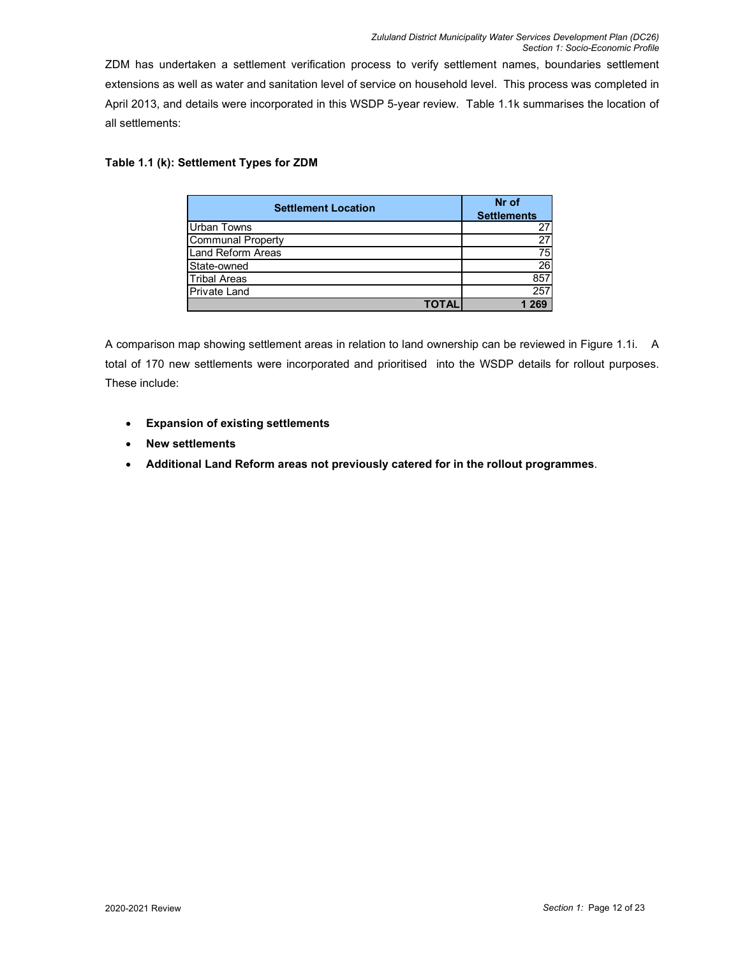ZDM has undertaken a settlement verification process to verify settlement names, boundaries settlement extensions as well as water and sanitation level of service on household level. This process was completed in April 2013, and details were incorporated in this WSDP 5-year review. Table 1.1k summarises the location of all settlements:

#### **Table 1.1 (k): Settlement Types for ZDM**

| <b>Settlement Location</b> | Nr of<br><b>Settlements</b> |
|----------------------------|-----------------------------|
| <b>Urban Towns</b>         | 27                          |
| <b>Communal Property</b>   | $\overline{27}$             |
| <b>Land Reform Areas</b>   | 75                          |
| State-owned                | $\overline{26}$             |
| <b>Tribal Areas</b>        | 857                         |
| <b>Private Land</b>        | 257                         |
| ΓΩΤΑΙ                      |                             |

A comparison map showing settlement areas in relation to land ownership can be reviewed in Figure 1.1i. A total of 170 new settlements were incorporated and prioritised into the WSDP details for rollout purposes. These include:

- **Expansion of existing settlements**
- **New settlements**
- **Additional Land Reform areas not previously catered for in the rollout programmes**.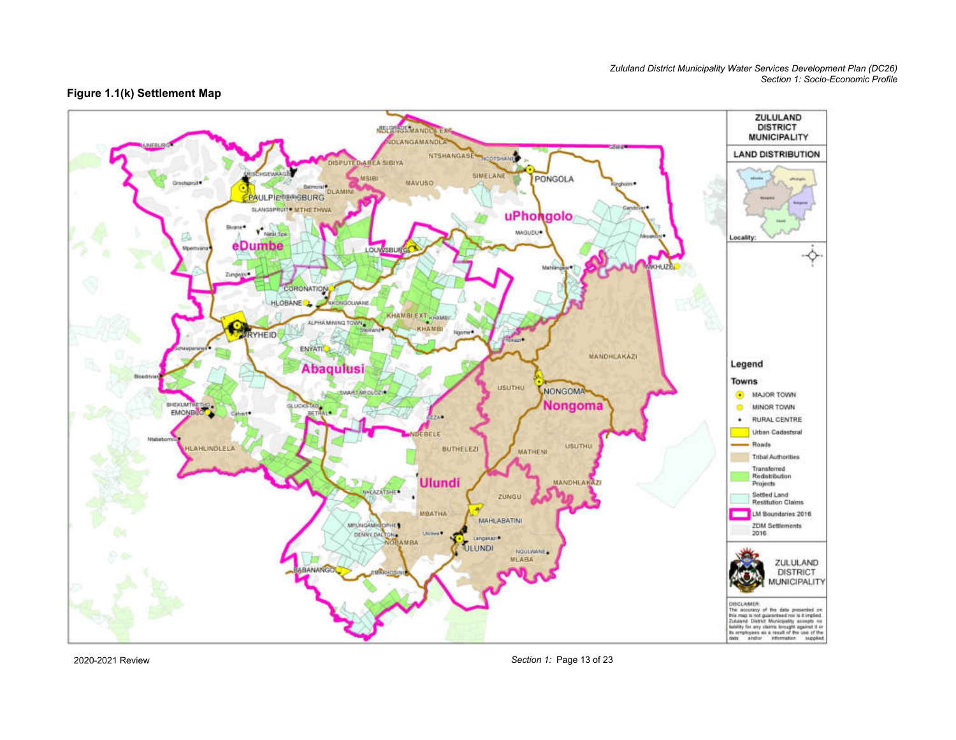#### **Figure 1.1(k) Settlement Map**



2020-2021 Review

*Section 1:* Page 13 of 23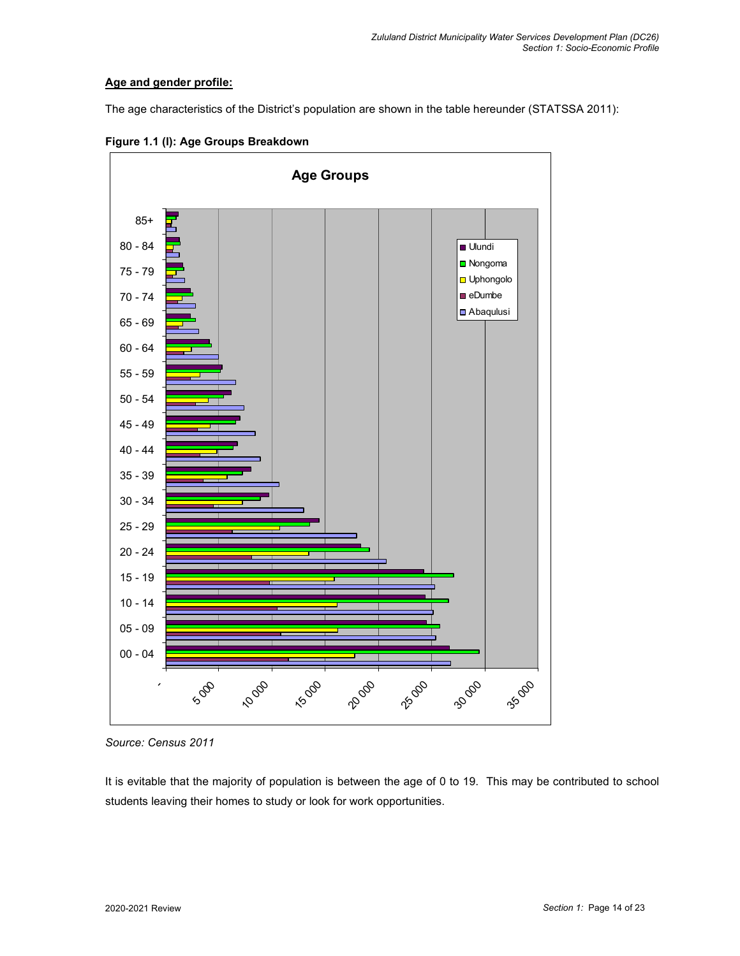#### **Age and gender profile:**

The age characteristics of the District's population are shown in the table hereunder (STATSSA 2011):



**Figure 1.1 (l): Age Groups Breakdown** 

It is evitable that the majority of population is between the age of 0 to 19. This may be contributed to school students leaving their homes to study or look for work opportunities.

*Source: Census 2011*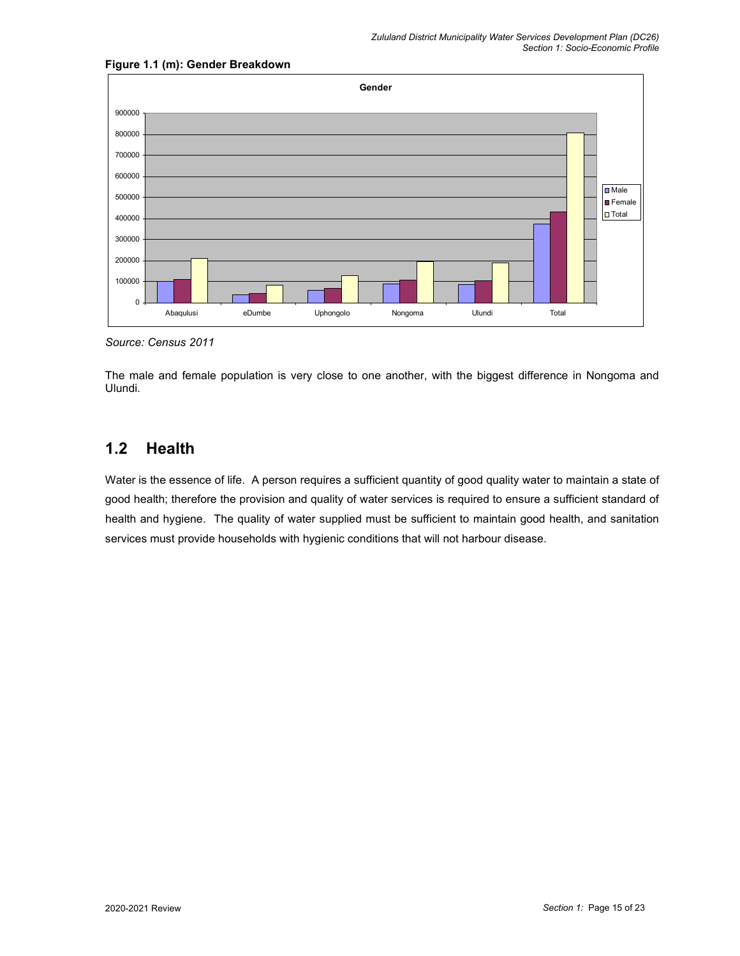

#### **Figure 1.1 (m): Gender Breakdown**

*Source: Census 2011* 

The male and female population is very close to one another, with the biggest difference in Nongoma and Ulundi.

## **1.2 Health**

Water is the essence of life. A person requires a sufficient quantity of good quality water to maintain a state of good health; therefore the provision and quality of water services is required to ensure a sufficient standard of health and hygiene. The quality of water supplied must be sufficient to maintain good health, and sanitation services must provide households with hygienic conditions that will not harbour disease.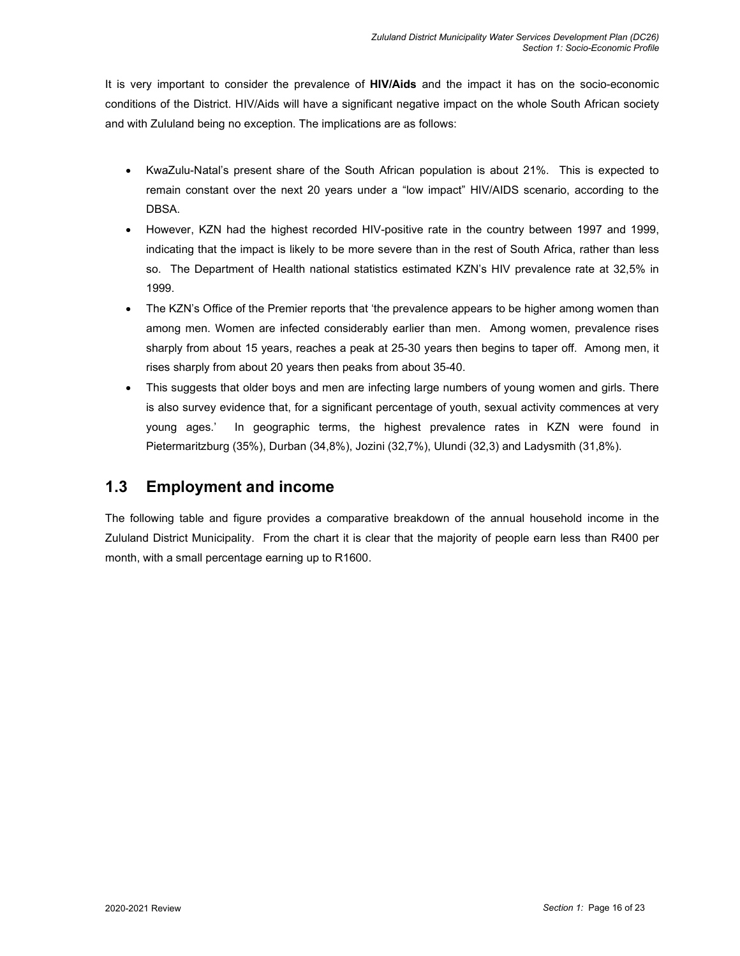It is very important to consider the prevalence of **HIV/Aids** and the impact it has on the socio-economic conditions of the District. HIV/Aids will have a significant negative impact on the whole South African society and with Zululand being no exception. The implications are as follows:

- KwaZulu-Natal's present share of the South African population is about 21%. This is expected to remain constant over the next 20 years under a "low impact" HIV/AIDS scenario, according to the DBSA.
- However, KZN had the highest recorded HIV-positive rate in the country between 1997 and 1999, indicating that the impact is likely to be more severe than in the rest of South Africa, rather than less so. The Department of Health national statistics estimated KZN's HIV prevalence rate at 32,5% in 1999.
- The KZN's Office of the Premier reports that 'the prevalence appears to be higher among women than among men. Women are infected considerably earlier than men. Among women, prevalence rises sharply from about 15 years, reaches a peak at 25-30 years then begins to taper off. Among men, it rises sharply from about 20 years then peaks from about 35-40.
- This suggests that older boys and men are infecting large numbers of young women and girls. There is also survey evidence that, for a significant percentage of youth, sexual activity commences at very young ages.' In geographic terms, the highest prevalence rates in KZN were found in Pietermaritzburg (35%), Durban (34,8%), Jozini (32,7%), Ulundi (32,3) and Ladysmith (31,8%).

## **1.3 Employment and income**

The following table and figure provides a comparative breakdown of the annual household income in the Zululand District Municipality. From the chart it is clear that the majority of people earn less than R400 per month, with a small percentage earning up to R1600.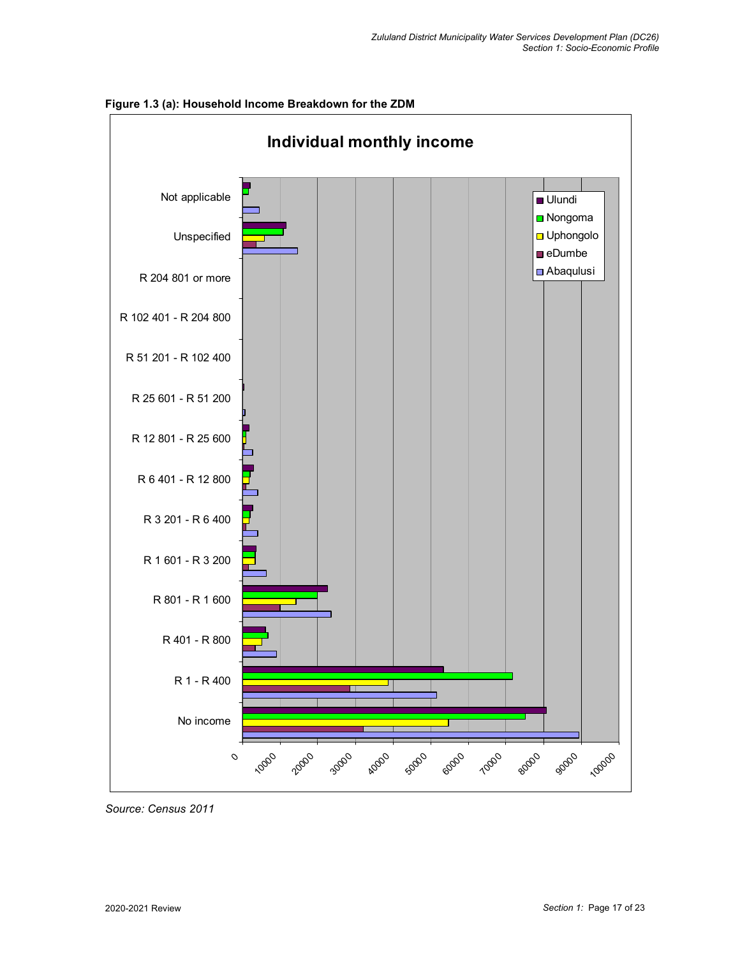

**Figure 1.3 (a): Household Income Breakdown for the ZDM** 

*Source: Census 2011*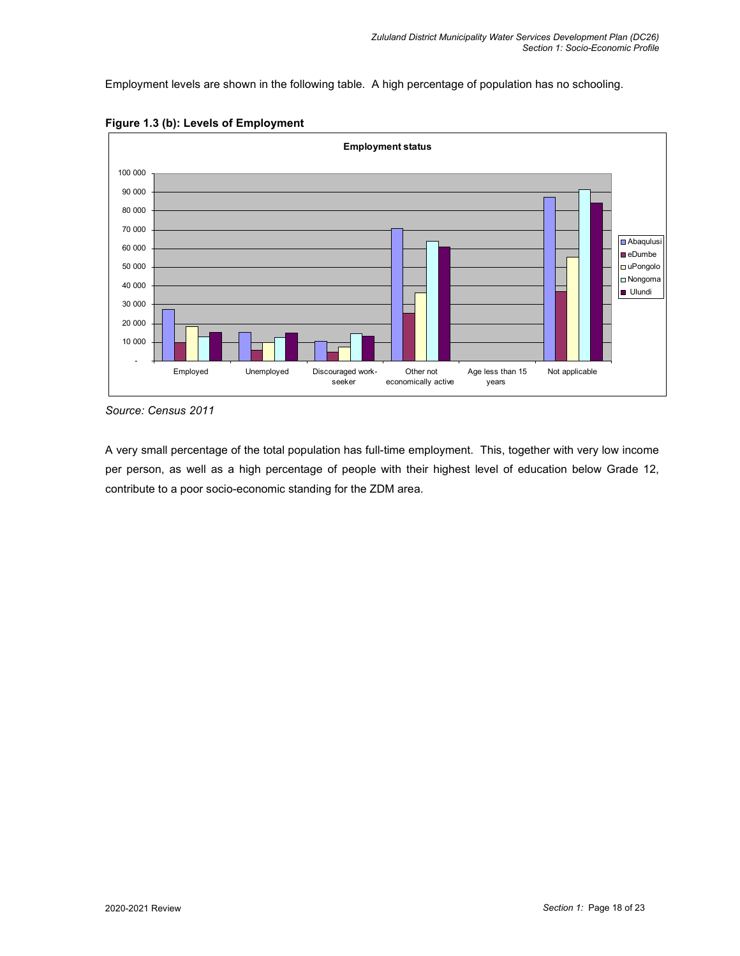Employment levels are shown in the following table. A high percentage of population has no schooling.



**Figure 1.3 (b): Levels of Employment** 

*Source: Census 2011* 

A very small percentage of the total population has full-time employment. This, together with very low income per person, as well as a high percentage of people with their highest level of education below Grade 12, contribute to a poor socio-economic standing for the ZDM area.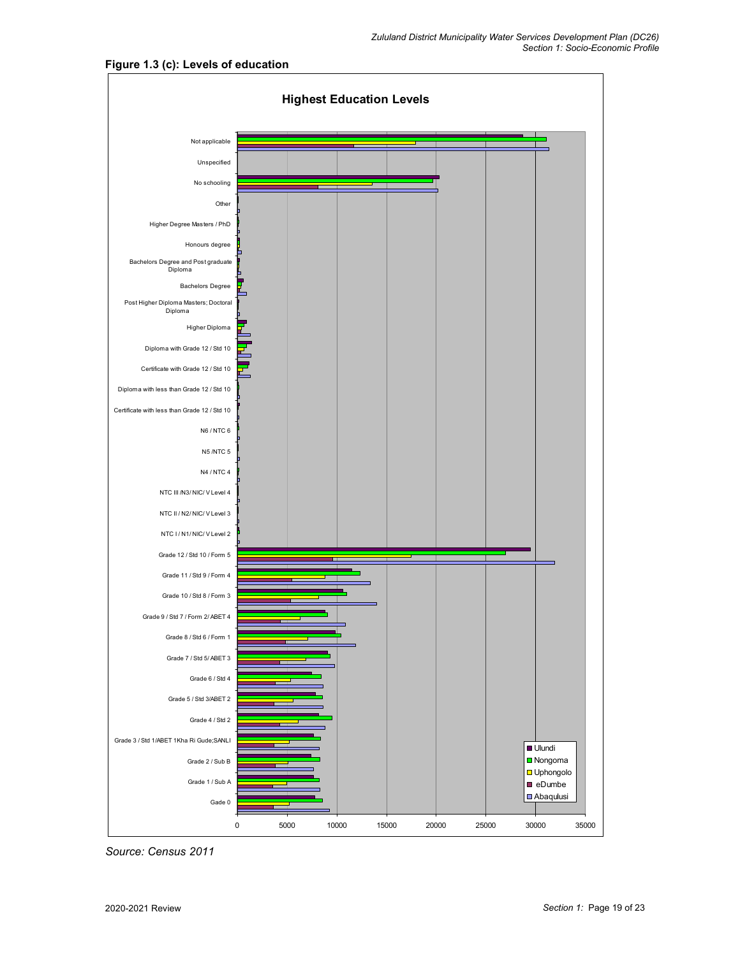

**Figure 1.3 (c): Levels of education** 

*Source: Census 2011*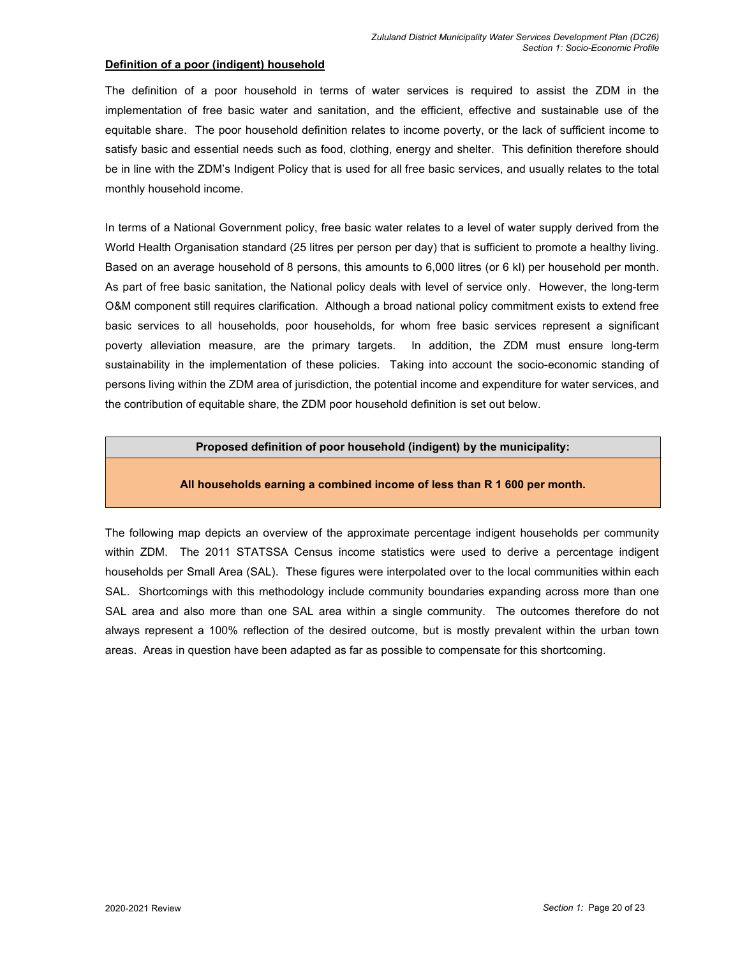#### **Definition of a poor (indigent) household**

The definition of a poor household in terms of water services is required to assist the ZDM in the implementation of free basic water and sanitation, and the efficient, effective and sustainable use of the equitable share. The poor household definition relates to income poverty, or the lack of sufficient income to satisfy basic and essential needs such as food, clothing, energy and shelter. This definition therefore should be in line with the ZDM's Indigent Policy that is used for all free basic services, and usually relates to the total monthly household income.

In terms of a National Government policy, free basic water relates to a level of water supply derived from the World Health Organisation standard (25 litres per person per day) that is sufficient to promote a healthy living. Based on an average household of 8 persons, this amounts to 6,000 litres (or 6 kl) per household per month. As part of free basic sanitation, the National policy deals with level of service only. However, the long-term O&M component still requires clarification. Although a broad national policy commitment exists to extend free basic services to all households, poor households, for whom free basic services represent a significant poverty alleviation measure, are the primary targets. In addition, the ZDM must ensure long-term sustainability in the implementation of these policies. Taking into account the socio-economic standing of persons living within the ZDM area of jurisdiction, the potential income and expenditure for water services, and the contribution of equitable share, the ZDM poor household definition is set out below.

#### **Proposed definition of poor household (indigent) by the municipality:**

#### **All households earning a combined income of less than R 1 600 per month.**

The following map depicts an overview of the approximate percentage indigent households per community within ZDM. The 2011 STATSSA Census income statistics were used to derive a percentage indigent households per Small Area (SAL). These figures were interpolated over to the local communities within each SAL. Shortcomings with this methodology include community boundaries expanding across more than one SAL area and also more than one SAL area within a single community. The outcomes therefore do not always represent a 100% reflection of the desired outcome, but is mostly prevalent within the urban town areas. Areas in question have been adapted as far as possible to compensate for this shortcoming.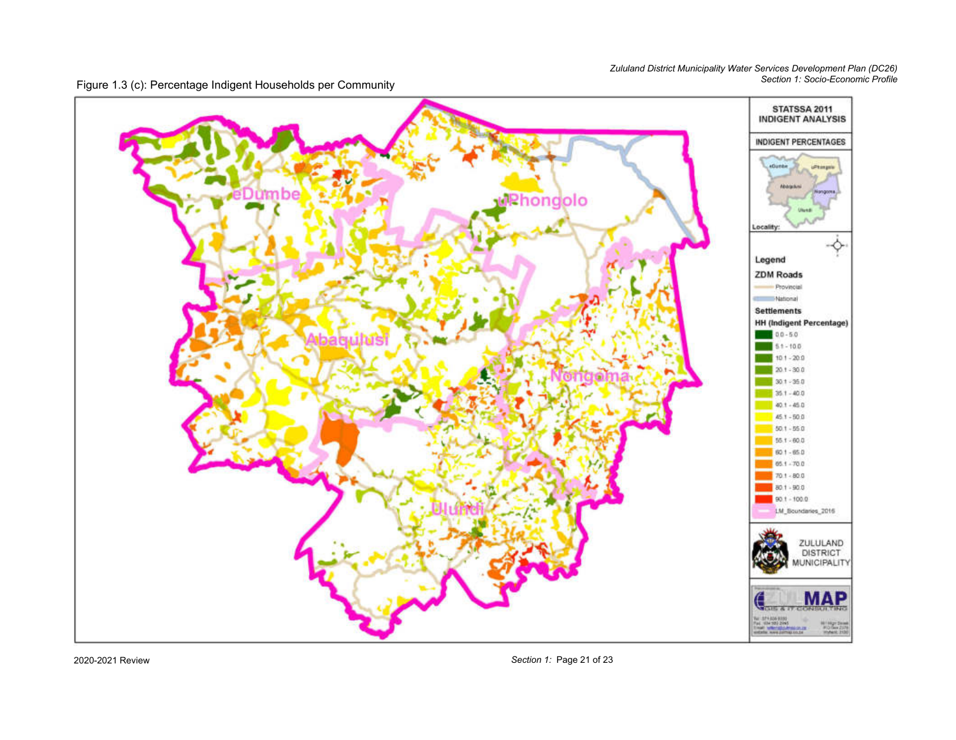Figure 1.3 (c): Percentage Indigent Households per Community



2020-2021 Review

*Section 1:* Page 21 of 23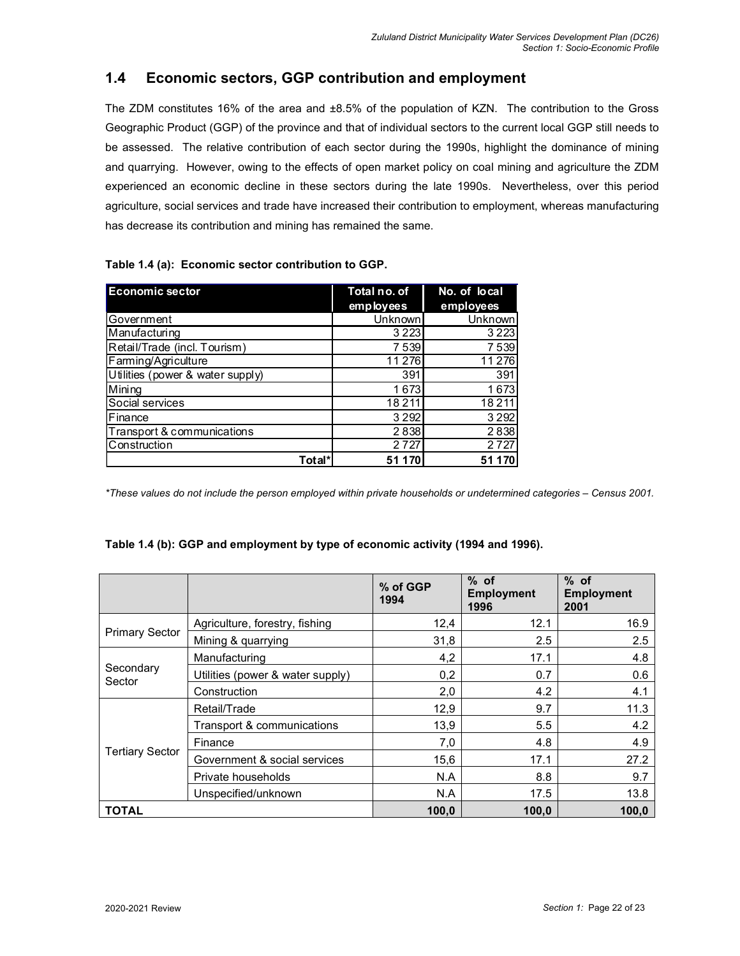## **1.4 Economic sectors, GGP contribution and employment**

The ZDM constitutes 16% of the area and ±8.5% of the population of KZN. The contribution to the Gross Geographic Product (GGP) of the province and that of individual sectors to the current local GGP still needs to be assessed. The relative contribution of each sector during the 1990s, highlight the dominance of mining and quarrying. However, owing to the effects of open market policy on coal mining and agriculture the ZDM experienced an economic decline in these sectors during the late 1990s. Nevertheless, over this period agriculture, social services and trade have increased their contribution to employment, whereas manufacturing has decrease its contribution and mining has remained the same.

| Table 1.4 (a): Economic sector contribution to GGP. |  |  |  |  |  |
|-----------------------------------------------------|--|--|--|--|--|
|-----------------------------------------------------|--|--|--|--|--|

| <b>Economic sector</b>                         | Total no. of | No. of local |
|------------------------------------------------|--------------|--------------|
|                                                | employees    | employees    |
| Government                                     | Unknown      | Unknown      |
| Manufacturing                                  | 3 2 2 3      | 3 2 2 3      |
| Retail/Trade (incl. Tourism)                   | 7539         | 7539         |
| Farming/Agriculture                            | 11 276       | 11 276       |
| Utilities (power $\overline{\&}$ water supply) | 391          | 391          |
| Mining                                         | 1673         | 1673         |
| Social services                                | 18 2 11      | 18 2 11      |
| Finance                                        | 3 2 9 2      | 3 2 9 2      |
| Transport & communications                     | 2838         | 2838         |
| Construction                                   | 2 7 2 7      | 2 7 2 7      |
| Total*                                         | 51 1 70      |              |

*\*These values do not include the person employed within private households or undetermined categories – Census 2001.* 

#### **Table 1.4 (b): GGP and employment by type of economic activity (1994 and 1996).**

|                        |                                  | % of GGP<br>1994 | $%$ of<br><b>Employment</b><br>1996 | $%$ of<br><b>Employment</b><br>2001 |
|------------------------|----------------------------------|------------------|-------------------------------------|-------------------------------------|
|                        | Agriculture, forestry, fishing   | 12,4             | 12.1                                | 16.9                                |
| <b>Primary Sector</b>  | Mining & quarrying               | 31,8             | 2.5                                 | 2.5                                 |
|                        | Manufacturing                    | 4,2              | 17.1                                | 4.8                                 |
| Secondary<br>Sector    | Utilities (power & water supply) | 0,2              | 0.7                                 | 0.6                                 |
|                        | Construction                     | 2,0              | 4.2                                 | 4.1                                 |
|                        | Retail/Trade                     | 12,9             | 9.7                                 | 11.3                                |
|                        | Transport & communications       | 13,9             | 5.5                                 | 4.2                                 |
| <b>Tertiary Sector</b> | Finance                          | 7,0              | 4.8                                 | 4.9                                 |
|                        | Government & social services     | 15,6             | 17.1                                | 27.2                                |
|                        | Private households               | N.A              | 8.8                                 | 9.7                                 |
|                        | Unspecified/unknown              | N.A              | 17.5                                | 13.8                                |
| <b>TOTAL</b>           |                                  | 100,0            | 100,0                               | 100,0                               |